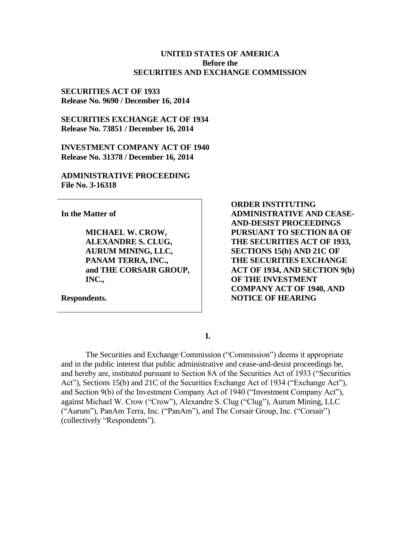#### **UNITED STATES OF AMERICA Before the SECURITIES AND EXCHANGE COMMISSION**

### **SECURITIES ACT OF 1933 Release No. 9690 / December 16, 2014**

**SECURITIES EXCHANGE ACT OF 1934 Release No. 73851 / December 16, 2014**

**INVESTMENT COMPANY ACT OF 1940 Release No. 31378 / December 16, 2014**

**ADMINISTRATIVE PROCEEDING File No. 3-16318**

**In the Matter of**

**MICHAEL W. CROW, ALEXANDRE S. CLUG, AURUM MINING, LLC, PANAM TERRA, INC., and THE CORSAIR GROUP, INC.,**

**Respondents.**

**ORDER INSTITUTING ADMINISTRATIVE AND CEASE-AND-DESIST PROCEEDINGS PURSUANT TO SECTION 8A OF THE SECURITIES ACT OF 1933, SECTIONS 15(b) AND 21C OF THE SECURITIES EXCHANGE ACT OF 1934, AND SECTION 9(b) OF THE INVESTMENT COMPANY ACT OF 1940, AND NOTICE OF HEARING**

**I.**

The Securities and Exchange Commission ("Commission") deems it appropriate and in the public interest that public administrative and cease-and-desist proceedings be, and hereby are, instituted pursuant to Section 8A of the Securities Act of 1933 ("Securities Act"), Sections 15(b) and 21C of the Securities Exchange Act of 1934 ("Exchange Act"), and Section 9(b) of the Investment Company Act of 1940 ("Investment Company Act"), against Michael W. Crow ("Crow"), Alexandre S. Clug ("Clug"), Aurum Mining, LLC ("Aurum"), PanAm Terra, Inc. ("PanAm"), and The Corsair Group, Inc. ("Corsair") (collectively "Respondents").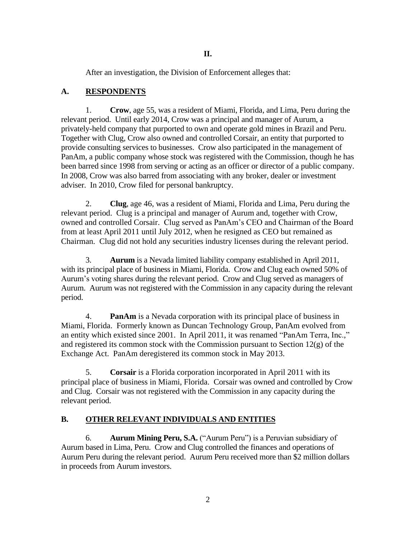After an investigation, the Division of Enforcement alleges that:

## **A. RESPONDENTS**

1. **Crow**, age 55, was a resident of Miami, Florida, and Lima, Peru during the relevant period. Until early 2014, Crow was a principal and manager of Aurum, a privately-held company that purported to own and operate gold mines in Brazil and Peru. Together with Clug, Crow also owned and controlled Corsair, an entity that purported to provide consulting services to businesses. Crow also participated in the management of PanAm, a public company whose stock was registered with the Commission, though he has been barred since 1998 from serving or acting as an officer or director of a public company. In 2008, Crow was also barred from associating with any broker, dealer or investment adviser. In 2010, Crow filed for personal bankruptcy.

2. **Clug**, age 46, was a resident of Miami, Florida and Lima, Peru during the relevant period. Clug is a principal and manager of Aurum and, together with Crow, owned and controlled Corsair. Clug served as PanAm's CEO and Chairman of the Board from at least April 2011 until July 2012, when he resigned as CEO but remained as Chairman. Clug did not hold any securities industry licenses during the relevant period.

3. **Aurum** is a Nevada limited liability company established in April 2011, with its principal place of business in Miami, Florida. Crow and Clug each owned 50% of Aurum's voting shares during the relevant period. Crow and Clug served as managers of Aurum. Aurum was not registered with the Commission in any capacity during the relevant period.

4. **PanAm** is a Nevada corporation with its principal place of business in Miami, Florida. Formerly known as Duncan Technology Group, PanAm evolved from an entity which existed since 2001. In April 2011, it was renamed "PanAm Terra, Inc.," and registered its common stock with the Commission pursuant to Section  $12(g)$  of the Exchange Act. PanAm deregistered its common stock in May 2013.

5. **Corsair** is a Florida corporation incorporated in April 2011 with its principal place of business in Miami, Florida. Corsair was owned and controlled by Crow and Clug. Corsair was not registered with the Commission in any capacity during the relevant period.

## **B. OTHER RELEVANT INDIVIDUALS AND ENTITIES**

6. **Aurum Mining Peru, S.A.** ("Aurum Peru") is a Peruvian subsidiary of Aurum based in Lima, Peru. Crow and Clug controlled the finances and operations of Aurum Peru during the relevant period. Aurum Peru received more than \$2 million dollars in proceeds from Aurum investors.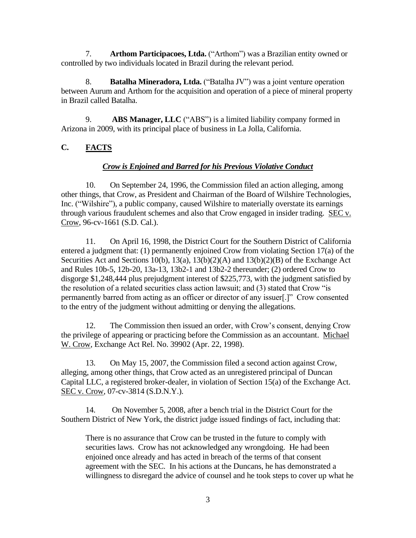7. **Arthom Participacoes, Ltda.** ("Arthom") was a Brazilian entity owned or controlled by two individuals located in Brazil during the relevant period.

8. **Batalha Mineradora, Ltda.** ("Batalha JV") was a joint venture operation between Aurum and Arthom for the acquisition and operation of a piece of mineral property in Brazil called Batalha.

9. **ABS Manager, LLC** ("ABS") is a limited liability company formed in Arizona in 2009, with its principal place of business in La Jolla, California.

# **C. FACTS**

## *Crow is Enjoined and Barred for his Previous Violative Conduct*

10. On September 24, 1996, the Commission filed an action alleging, among other things, that Crow, as President and Chairman of the Board of Wilshire Technologies, Inc. ("Wilshire"), a public company, caused Wilshire to materially overstate its earnings through various fraudulent schemes and also that Crow engaged in insider trading. SEC v. Crow, 96-cv-1661 (S.D. Cal.).

11. On April 16, 1998, the District Court for the Southern District of California entered a judgment that: (1) permanently enjoined Crow from violating Section 17(a) of the Securities Act and Sections 10(b), 13(a), 13(b)(2)(A) and 13(b)(2)(B) of the Exchange Act and Rules 10b-5, 12b-20, 13a-13, 13b2-1 and 13b2-2 thereunder; (2) ordered Crow to disgorge \$1,248,444 plus prejudgment interest of \$225,773, with the judgment satisfied by the resolution of a related securities class action lawsuit; and (3) stated that Crow "is permanently barred from acting as an officer or director of any issuer[.]" Crow consented to the entry of the judgment without admitting or denying the allegations.

12. The Commission then issued an order, with Crow's consent, denying Crow the privilege of appearing or practicing before the Commission as an accountant. Michael W. Crow, Exchange Act Rel. No. 39902 (Apr. 22, 1998).

13. On May 15, 2007, the Commission filed a second action against Crow, alleging, among other things, that Crow acted as an unregistered principal of Duncan Capital LLC, a registered broker-dealer, in violation of Section 15(a) of the Exchange Act. SEC v. Crow*,* 07-cv-3814 (S.D.N.Y.).

14. On November 5, 2008, after a bench trial in the District Court for the Southern District of New York, the district judge issued findings of fact, including that:

There is no assurance that Crow can be trusted in the future to comply with securities laws. Crow has not acknowledged any wrongdoing. He had been enjoined once already and has acted in breach of the terms of that consent agreement with the SEC. In his actions at the Duncans, he has demonstrated a willingness to disregard the advice of counsel and he took steps to cover up what he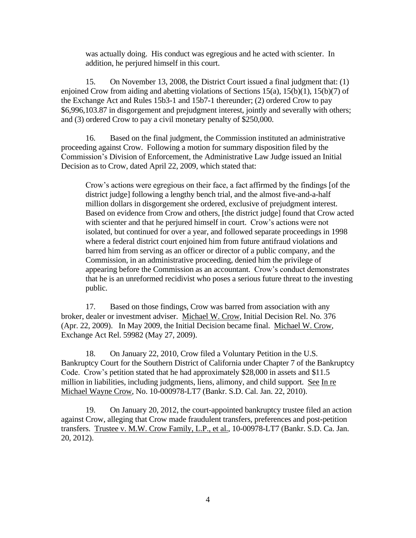was actually doing. His conduct was egregious and he acted with scienter. In addition, he perjured himself in this court.

15. On November 13, 2008, the District Court issued a final judgment that: (1) enjoined Crow from aiding and abetting violations of Sections 15(a), 15(b)(1), 15(b)(7) of the Exchange Act and Rules 15b3-1 and 15b7-1 thereunder; (2) ordered Crow to pay \$6,996,103.87 in disgorgement and prejudgment interest, jointly and severally with others; and (3) ordered Crow to pay a civil monetary penalty of \$250,000.

16. Based on the final judgment, the Commission instituted an administrative proceeding against Crow. Following a motion for summary disposition filed by the Commission's Division of Enforcement, the Administrative Law Judge issued an Initial Decision as to Crow, dated April 22, 2009, which stated that:

Crow's actions were egregious on their face, a fact affirmed by the findings [of the district judge] following a lengthy bench trial, and the almost five-and-a-half million dollars in disgorgement she ordered, exclusive of prejudgment interest. Based on evidence from Crow and others, [the district judge] found that Crow acted with scienter and that he perjured himself in court. Crow's actions were not isolated, but continued for over a year, and followed separate proceedings in 1998 where a federal district court enjoined him from future antifraud violations and barred him from serving as an officer or director of a public company, and the Commission, in an administrative proceeding, denied him the privilege of appearing before the Commission as an accountant. Crow's conduct demonstrates that he is an unreformed recidivist who poses a serious future threat to the investing public.

17. Based on those findings, Crow was barred from association with any broker, dealer or investment adviser. Michael W. Crow, Initial Decision Rel. No. 376 (Apr. 22, 2009). In May 2009, the Initial Decision became final. Michael W. Crow, Exchange Act Rel. 59982 (May 27, 2009).

18. On January 22, 2010, Crow filed a Voluntary Petition in the U.S. Bankruptcy Court for the Southern District of California under Chapter 7 of the Bankruptcy Code. Crow's petition stated that he had approximately \$28,000 in assets and \$11.5 million in liabilities, including judgments, liens, alimony, and child support. See In re Michael Wayne Crow, No. 10-000978-LT7 (Bankr. S.D. Cal. Jan. 22, 2010).

19. On January 20, 2012, the court-appointed bankruptcy trustee filed an action against Crow, alleging that Crow made fraudulent transfers, preferences and post-petition transfers. Trustee v. M.W. Crow Family, L.P., et al., 10-00978-LT7 (Bankr. S.D. Ca. Jan. 20, 2012).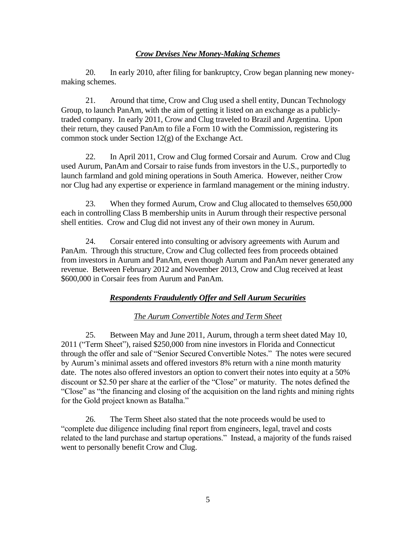### *Crow Devises New Money-Making Schemes*

20. In early 2010, after filing for bankruptcy, Crow began planning new moneymaking schemes.

21. Around that time, Crow and Clug used a shell entity, Duncan Technology Group, to launch PanAm, with the aim of getting it listed on an exchange as a publiclytraded company. In early 2011, Crow and Clug traveled to Brazil and Argentina. Upon their return, they caused PanAm to file a Form 10 with the Commission, registering its common stock under Section 12(g) of the Exchange Act.

22. In April 2011, Crow and Clug formed Corsair and Aurum. Crow and Clug used Aurum, PanAm and Corsair to raise funds from investors in the U.S., purportedly to launch farmland and gold mining operations in South America. However, neither Crow nor Clug had any expertise or experience in farmland management or the mining industry.

23. When they formed Aurum, Crow and Clug allocated to themselves 650,000 each in controlling Class B membership units in Aurum through their respective personal shell entities. Crow and Clug did not invest any of their own money in Aurum.

24. Corsair entered into consulting or advisory agreements with Aurum and PanAm. Through this structure, Crow and Clug collected fees from proceeds obtained from investors in Aurum and PanAm, even though Aurum and PanAm never generated any revenue. Between February 2012 and November 2013, Crow and Clug received at least \$600,000 in Corsair fees from Aurum and PanAm.

### *Respondents Fraudulently Offer and Sell Aurum Securities*

#### *The Aurum Convertible Notes and Term Sheet*

25. Between May and June 2011, Aurum, through a term sheet dated May 10, 2011 ("Term Sheet"), raised \$250,000 from nine investors in Florida and Connecticut through the offer and sale of "Senior Secured Convertible Notes." The notes were secured by Aurum's minimal assets and offered investors 8% return with a nine month maturity date. The notes also offered investors an option to convert their notes into equity at a 50% discount or \$2.50 per share at the earlier of the "Close" or maturity. The notes defined the "Close" as "the financing and closing of the acquisition on the land rights and mining rights for the Gold project known as Batalha."

26. The Term Sheet also stated that the note proceeds would be used to "complete due diligence including final report from engineers, legal, travel and costs related to the land purchase and startup operations." Instead, a majority of the funds raised went to personally benefit Crow and Clug.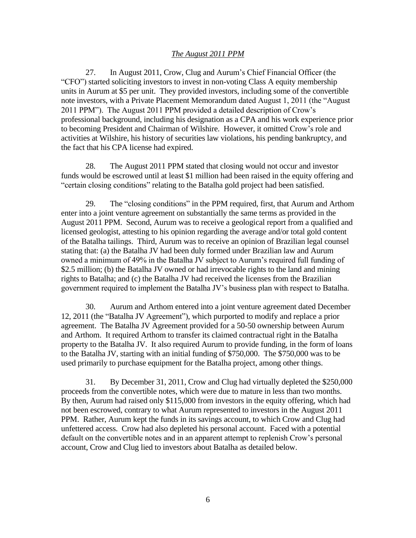### *The August 2011 PPM*

27. In August 2011, Crow, Clug and Aurum's Chief Financial Officer (the "CFO") started soliciting investors to invest in non-voting Class A equity membership units in Aurum at \$5 per unit. They provided investors, including some of the convertible note investors, with a Private Placement Memorandum dated August 1, 2011 (the "August 2011 PPM"). The August 2011 PPM provided a detailed description of Crow's professional background, including his designation as a CPA and his work experience prior to becoming President and Chairman of Wilshire. However, it omitted Crow's role and activities at Wilshire, his history of securities law violations, his pending bankruptcy, and the fact that his CPA license had expired.

28. The August 2011 PPM stated that closing would not occur and investor funds would be escrowed until at least \$1 million had been raised in the equity offering and "certain closing conditions" relating to the Batalha gold project had been satisfied.

29. The "closing conditions" in the PPM required, first, that Aurum and Arthom enter into a joint venture agreement on substantially the same terms as provided in the August 2011 PPM. Second, Aurum was to receive a geological report from a qualified and licensed geologist, attesting to his opinion regarding the average and/or total gold content of the Batalha tailings. Third, Aurum was to receive an opinion of Brazilian legal counsel stating that: (a) the Batalha JV had been duly formed under Brazilian law and Aurum owned a minimum of 49% in the Batalha JV subject to Aurum's required full funding of \$2.5 million; (b) the Batalha JV owned or had irrevocable rights to the land and mining rights to Batalha; and (c) the Batalha JV had received the licenses from the Brazilian government required to implement the Batalha JV's business plan with respect to Batalha.

30. Aurum and Arthom entered into a joint venture agreement dated December 12, 2011 (the "Batalha JV Agreement"), which purported to modify and replace a prior agreement. The Batalha JV Agreement provided for a 50-50 ownership between Aurum and Arthom. It required Arthom to transfer its claimed contractual right in the Batalha property to the Batalha JV. It also required Aurum to provide funding, in the form of loans to the Batalha JV, starting with an initial funding of \$750,000. The \$750,000 was to be used primarily to purchase equipment for the Batalha project, among other things.

31. By December 31, 2011, Crow and Clug had virtually depleted the \$250,000 proceeds from the convertible notes, which were due to mature in less than two months. By then, Aurum had raised only \$115,000 from investors in the equity offering, which had not been escrowed, contrary to what Aurum represented to investors in the August 2011 PPM. Rather, Aurum kept the funds in its savings account, to which Crow and Clug had unfettered access. Crow had also depleted his personal account. Faced with a potential default on the convertible notes and in an apparent attempt to replenish Crow's personal account, Crow and Clug lied to investors about Batalha as detailed below.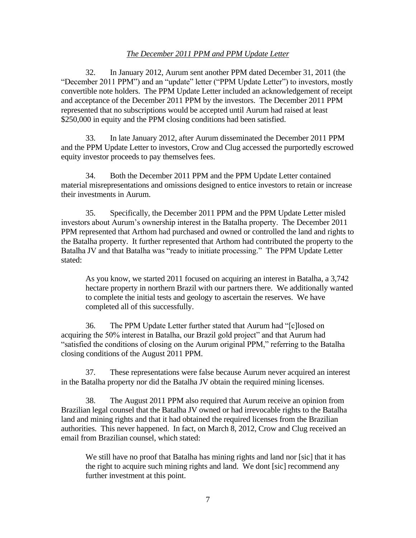#### *The December 2011 PPM and PPM Update Letter*

32. In January 2012, Aurum sent another PPM dated December 31, 2011 (the "December 2011 PPM") and an "update" letter ("PPM Update Letter") to investors, mostly convertible note holders. The PPM Update Letter included an acknowledgement of receipt and acceptance of the December 2011 PPM by the investors. The December 2011 PPM represented that no subscriptions would be accepted until Aurum had raised at least \$250,000 in equity and the PPM closing conditions had been satisfied.

33. In late January 2012, after Aurum disseminated the December 2011 PPM and the PPM Update Letter to investors, Crow and Clug accessed the purportedly escrowed equity investor proceeds to pay themselves fees.

34. Both the December 2011 PPM and the PPM Update Letter contained material misrepresentations and omissions designed to entice investors to retain or increase their investments in Aurum.

35. Specifically, the December 2011 PPM and the PPM Update Letter misled investors about Aurum's ownership interest in the Batalha property. The December 2011 PPM represented that Arthom had purchased and owned or controlled the land and rights to the Batalha property. It further represented that Arthom had contributed the property to the Batalha JV and that Batalha was "ready to initiate processing." The PPM Update Letter stated:

As you know, we started 2011 focused on acquiring an interest in Batalha, a 3,742 hectare property in northern Brazil with our partners there. We additionally wanted to complete the initial tests and geology to ascertain the reserves. We have completed all of this successfully.

36. The PPM Update Letter further stated that Aurum had "[c]losed on acquiring the 50% interest in Batalha, our Brazil gold project" and that Aurum had "satisfied the conditions of closing on the Aurum original PPM," referring to the Batalha closing conditions of the August 2011 PPM.

37. These representations were false because Aurum never acquired an interest in the Batalha property nor did the Batalha JV obtain the required mining licenses.

38. The August 2011 PPM also required that Aurum receive an opinion from Brazilian legal counsel that the Batalha JV owned or had irrevocable rights to the Batalha land and mining rights and that it had obtained the required licenses from the Brazilian authorities. This never happened. In fact, on March 8, 2012, Crow and Clug received an email from Brazilian counsel, which stated:

We still have no proof that Batalha has mining rights and land nor [sic] that it has the right to acquire such mining rights and land. We dont [sic] recommend any further investment at this point.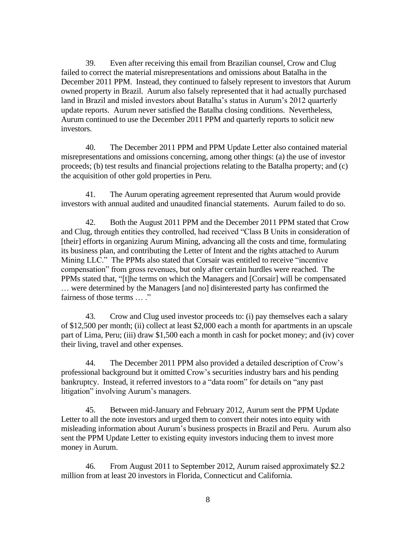39. Even after receiving this email from Brazilian counsel, Crow and Clug failed to correct the material misrepresentations and omissions about Batalha in the December 2011 PPM. Instead, they continued to falsely represent to investors that Aurum owned property in Brazil. Aurum also falsely represented that it had actually purchased land in Brazil and misled investors about Batalha's status in Aurum's 2012 quarterly update reports. Aurum never satisfied the Batalha closing conditions. Nevertheless, Aurum continued to use the December 2011 PPM and quarterly reports to solicit new investors.

40. The December 2011 PPM and PPM Update Letter also contained material misrepresentations and omissions concerning, among other things: (a) the use of investor proceeds; (b) test results and financial projections relating to the Batalha property; and (c) the acquisition of other gold properties in Peru.

41. The Aurum operating agreement represented that Aurum would provide investors with annual audited and unaudited financial statements. Aurum failed to do so.

42. Both the August 2011 PPM and the December 2011 PPM stated that Crow and Clug, through entities they controlled, had received "Class B Units in consideration of [their] efforts in organizing Aurum Mining, advancing all the costs and time, formulating its business plan, and contributing the Letter of Intent and the rights attached to Aurum Mining LLC." The PPMs also stated that Corsair was entitled to receive "incentive compensation" from gross revenues, but only after certain hurdles were reached. The PPMs stated that, "[t]he terms on which the Managers and [Corsair] will be compensated … were determined by the Managers [and no] disinterested party has confirmed the fairness of those terms … ."

43. Crow and Clug used investor proceeds to: (i) pay themselves each a salary of \$12,500 per month; (ii) collect at least \$2,000 each a month for apartments in an upscale part of Lima, Peru; (iii) draw \$1,500 each a month in cash for pocket money; and (iv) cover their living, travel and other expenses.

44. The December 2011 PPM also provided a detailed description of Crow's professional background but it omitted Crow's securities industry bars and his pending bankruptcy. Instead, it referred investors to a "data room" for details on "any past litigation" involving Aurum's managers.

45. Between mid-January and February 2012, Aurum sent the PPM Update Letter to all the note investors and urged them to convert their notes into equity with misleading information about Aurum's business prospects in Brazil and Peru. Aurum also sent the PPM Update Letter to existing equity investors inducing them to invest more money in Aurum.

46. From August 2011 to September 2012, Aurum raised approximately \$2.2 million from at least 20 investors in Florida, Connecticut and California.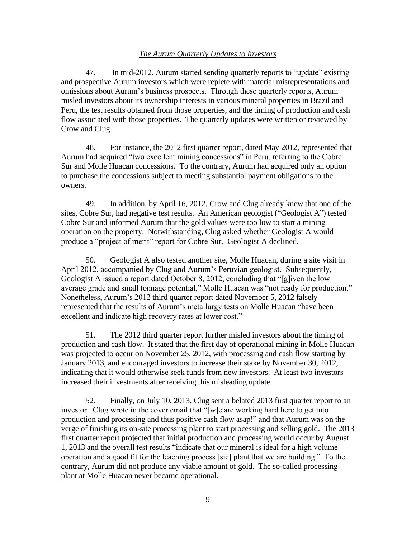#### *The Aurum Quarterly Updates to Investors*

47. In mid-2012, Aurum started sending quarterly reports to "update" existing and prospective Aurum investors which were replete with material misrepresentations and omissions about Aurum's business prospects. Through these quarterly reports, Aurum misled investors about its ownership interests in various mineral properties in Brazil and Peru, the test results obtained from those properties, and the timing of production and cash flow associated with those properties. The quarterly updates were written or reviewed by Crow and Clug.

48. For instance, the 2012 first quarter report, dated May 2012, represented that Aurum had acquired "two excellent mining concessions" in Peru, referring to the Cobre Sur and Molle Huacan concessions. To the contrary, Aurum had acquired only an option to purchase the concessions subject to meeting substantial payment obligations to the owners.

49. In addition, by April 16, 2012, Crow and Clug already knew that one of the sites, Cobre Sur, had negative test results. An American geologist ("Geologist A") tested Cobre Sur and informed Aurum that the gold values were too low to start a mining operation on the property. Notwithstanding, Clug asked whether Geologist A would produce a "project of merit" report for Cobre Sur. Geologist A declined.

50. Geologist A also tested another site, Molle Huacan, during a site visit in April 2012, accompanied by Clug and Aurum's Peruvian geologist. Subsequently, Geologist A issued a report dated October 8, 2012, concluding that "[g]iven the low average grade and small tonnage potential," Molle Huacan was "not ready for production." Nonetheless, Aurum's 2012 third quarter report dated November 5, 2012 falsely represented that the results of Aurum's metallurgy tests on Molle Huacan "have been excellent and indicate high recovery rates at lower cost."

51. The 2012 third quarter report further misled investors about the timing of production and cash flow. It stated that the first day of operational mining in Molle Huacan was projected to occur on November 25, 2012, with processing and cash flow starting by January 2013, and encouraged investors to increase their stake by November 30, 2012, indicating that it would otherwise seek funds from new investors. At least two investors increased their investments after receiving this misleading update.

52. Finally, on July 10, 2013, Clug sent a belated 2013 first quarter report to an investor. Clug wrote in the cover email that "[w]e are working hard here to get into production and processing and thus positive cash flow asap!" and that Aurum was on the verge of finishing its on-site processing plant to start processing and selling gold. The 2013 first quarter report projected that initial production and processing would occur by August 1, 2013 and the overall test results "indicate that our mineral is ideal for a high volume operation and a good fit for the leaching process [sic] plant that we are building." To the contrary, Aurum did not produce any viable amount of gold. The so-called processing plant at Molle Huacan never became operational.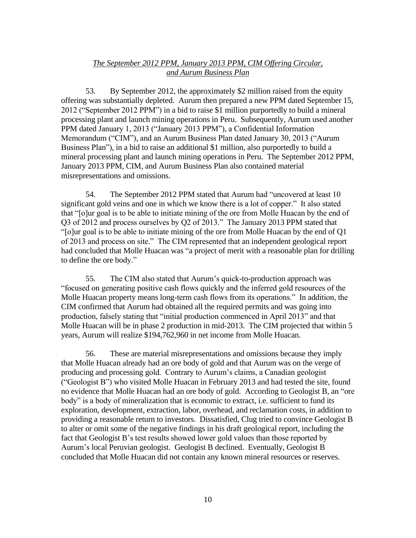## *The September 2012 PPM, January 2013 PPM, CIM Offering Circular, and Aurum Business Plan*

53. By September 2012, the approximately \$2 million raised from the equity offering was substantially depleted. Aurum then prepared a new PPM dated September 15, 2012 ("September 2012 PPM") in a bid to raise \$1 million purportedly to build a mineral processing plant and launch mining operations in Peru. Subsequently, Aurum used another PPM dated January 1, 2013 ("January 2013 PPM"), a Confidential Information Memorandum ("CIM"), and an Aurum Business Plan dated January 30, 2013 ("Aurum Business Plan"), in a bid to raise an additional \$1 million, also purportedly to build a mineral processing plant and launch mining operations in Peru. The September 2012 PPM, January 2013 PPM, CIM, and Aurum Business Plan also contained material misrepresentations and omissions.

54. The September 2012 PPM stated that Aurum had "uncovered at least 10 significant gold veins and one in which we know there is a lot of copper." It also stated that "[o]ur goal is to be able to initiate mining of the ore from Molle Huacan by the end of Q3 of 2012 and process ourselves by Q2 of 2013." The January 2013 PPM stated that "[o]ur goal is to be able to initiate mining of the ore from Molle Huacan by the end of Q1 of 2013 and process on site." The CIM represented that an independent geological report had concluded that Molle Huacan was "a project of merit with a reasonable plan for drilling to define the ore body."

55. The CIM also stated that Aurum's quick-to-production approach was "focused on generating positive cash flows quickly and the inferred gold resources of the Molle Huacan property means long-term cash flows from its operations." In addition, the CIM confirmed that Aurum had obtained all the required permits and was going into production, falsely stating that "initial production commenced in April 2013" and that Molle Huacan will be in phase 2 production in mid-2013. The CIM projected that within 5 years, Aurum will realize \$194,762,960 in net income from Molle Huacan.

56. These are material misrepresentations and omissions because they imply that Molle Huacan already had an ore body of gold and that Aurum was on the verge of producing and processing gold. Contrary to Aurum's claims, a Canadian geologist ("Geologist B") who visited Molle Huacan in February 2013 and had tested the site, found no evidence that Molle Huacan had an ore body of gold. According to Geologist B, an "ore body" is a body of mineralization that is economic to extract, i.e. sufficient to fund its exploration, development, extraction, labor, overhead, and reclamation costs, in addition to providing a reasonable return to investors. Dissatisfied, Clug tried to convince Geologist B to alter or omit some of the negative findings in his draft geological report, including the fact that Geologist B's test results showed lower gold values than those reported by Aurum's local Peruvian geologist. Geologist B declined. Eventually, Geologist B concluded that Molle Huacan did not contain any known mineral resources or reserves.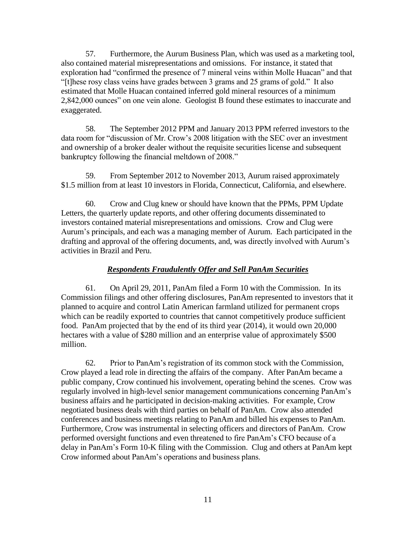57. Furthermore, the Aurum Business Plan, which was used as a marketing tool, also contained material misrepresentations and omissions. For instance, it stated that exploration had "confirmed the presence of 7 mineral veins within Molle Huacan" and that "[t]hese rosy class veins have grades between 3 grams and 25 grams of gold." It also estimated that Molle Huacan contained inferred gold mineral resources of a minimum 2,842,000 ounces" on one vein alone. Geologist B found these estimates to inaccurate and exaggerated.

58. The September 2012 PPM and January 2013 PPM referred investors to the data room for "discussion of Mr. Crow's 2008 litigation with the SEC over an investment and ownership of a broker dealer without the requisite securities license and subsequent bankruptcy following the financial meltdown of 2008."

59. From September 2012 to November 2013, Aurum raised approximately \$1.5 million from at least 10 investors in Florida, Connecticut, California, and elsewhere.

60. Crow and Clug knew or should have known that the PPMs, PPM Update Letters, the quarterly update reports, and other offering documents disseminated to investors contained material misrepresentations and omissions. Crow and Clug were Aurum's principals, and each was a managing member of Aurum. Each participated in the drafting and approval of the offering documents, and, was directly involved with Aurum's activities in Brazil and Peru.

### *Respondents Fraudulently Offer and Sell PanAm Securities*

61. On April 29, 2011, PanAm filed a Form 10 with the Commission. In its Commission filings and other offering disclosures, PanAm represented to investors that it planned to acquire and control Latin American farmland utilized for permanent crops which can be readily exported to countries that cannot competitively produce sufficient food. PanAm projected that by the end of its third year (2014), it would own 20,000 hectares with a value of \$280 million and an enterprise value of approximately \$500 million.

62. Prior to PanAm's registration of its common stock with the Commission, Crow played a lead role in directing the affairs of the company. After PanAm became a public company, Crow continued his involvement, operating behind the scenes. Crow was regularly involved in high-level senior management communications concerning PanAm's business affairs and he participated in decision-making activities. For example, Crow negotiated business deals with third parties on behalf of PanAm. Crow also attended conferences and business meetings relating to PanAm and billed his expenses to PanAm. Furthermore, Crow was instrumental in selecting officers and directors of PanAm. Crow performed oversight functions and even threatened to fire PanAm's CFO because of a delay in PanAm's Form 10-K filing with the Commission. Clug and others at PanAm kept Crow informed about PanAm's operations and business plans.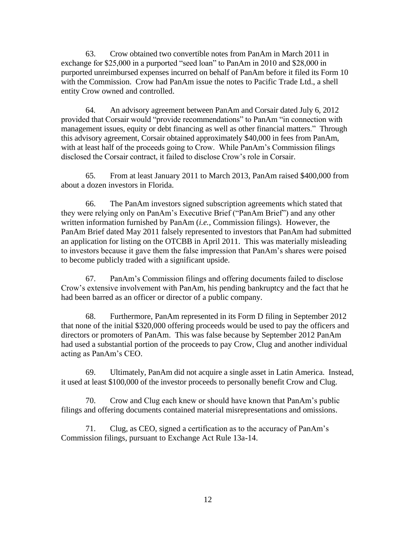63. Crow obtained two convertible notes from PanAm in March 2011 in exchange for \$25,000 in a purported "seed loan" to PanAm in 2010 and \$28,000 in purported unreimbursed expenses incurred on behalf of PanAm before it filed its Form 10 with the Commission. Crow had PanAm issue the notes to Pacific Trade Ltd., a shell entity Crow owned and controlled.

64. An advisory agreement between PanAm and Corsair dated July 6, 2012 provided that Corsair would "provide recommendations" to PanAm "in connection with management issues, equity or debt financing as well as other financial matters." Through this advisory agreement, Corsair obtained approximately \$40,000 in fees from PanAm, with at least half of the proceeds going to Crow. While PanAm's Commission filings disclosed the Corsair contract, it failed to disclose Crow's role in Corsair.

65. From at least January 2011 to March 2013, PanAm raised \$400,000 from about a dozen investors in Florida.

66. The PanAm investors signed subscription agreements which stated that they were relying only on PanAm's Executive Brief ("PanAm Brief") and any other written information furnished by PanAm (*i.e.,* Commission filings). However, the PanAm Brief dated May 2011 falsely represented to investors that PanAm had submitted an application for listing on the OTCBB in April 2011. This was materially misleading to investors because it gave them the false impression that PanAm's shares were poised to become publicly traded with a significant upside.

67. PanAm's Commission filings and offering documents failed to disclose Crow's extensive involvement with PanAm, his pending bankruptcy and the fact that he had been barred as an officer or director of a public company.

68. Furthermore, PanAm represented in its Form D filing in September 2012 that none of the initial \$320,000 offering proceeds would be used to pay the officers and directors or promoters of PanAm. This was false because by September 2012 PanAm had used a substantial portion of the proceeds to pay Crow, Clug and another individual acting as PanAm's CEO.

69. Ultimately, PanAm did not acquire a single asset in Latin America. Instead, it used at least \$100,000 of the investor proceeds to personally benefit Crow and Clug.

70. Crow and Clug each knew or should have known that PanAm's public filings and offering documents contained material misrepresentations and omissions.

71. Clug, as CEO, signed a certification as to the accuracy of PanAm's Commission filings, pursuant to Exchange Act Rule 13a-14.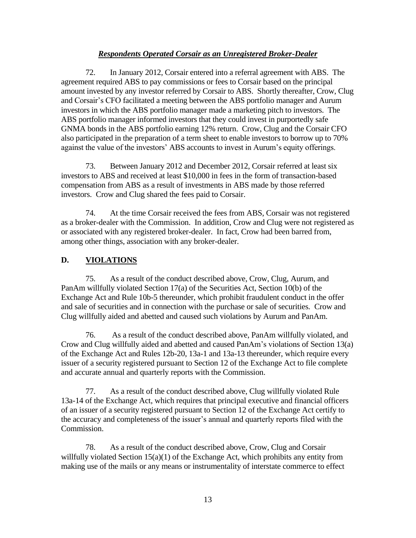## *Respondents Operated Corsair as an Unregistered Broker-Dealer*

72. In January 2012, Corsair entered into a referral agreement with ABS. The agreement required ABS to pay commissions or fees to Corsair based on the principal amount invested by any investor referred by Corsair to ABS. Shortly thereafter, Crow, Clug and Corsair's CFO facilitated a meeting between the ABS portfolio manager and Aurum investors in which the ABS portfolio manager made a marketing pitch to investors. The ABS portfolio manager informed investors that they could invest in purportedly safe GNMA bonds in the ABS portfolio earning 12% return. Crow, Clug and the Corsair CFO also participated in the preparation of a term sheet to enable investors to borrow up to 70% against the value of the investors' ABS accounts to invest in Aurum's equity offerings.

73. Between January 2012 and December 2012, Corsair referred at least six investors to ABS and received at least \$10,000 in fees in the form of transaction-based compensation from ABS as a result of investments in ABS made by those referred investors. Crow and Clug shared the fees paid to Corsair.

74. At the time Corsair received the fees from ABS, Corsair was not registered as a broker-dealer with the Commission. In addition, Crow and Clug were not registered as or associated with any registered broker-dealer. In fact, Crow had been barred from, among other things, association with any broker-dealer.

### **D. VIOLATIONS**

75. As a result of the conduct described above, Crow, Clug, Aurum, and PanAm willfully violated Section 17(a) of the Securities Act, Section 10(b) of the Exchange Act and Rule 10b-5 thereunder, which prohibit fraudulent conduct in the offer and sale of securities and in connection with the purchase or sale of securities*.* Crow and Clug willfully aided and abetted and caused such violations by Aurum and PanAm.

76. As a result of the conduct described above, PanAm willfully violated, and Crow and Clug willfully aided and abetted and caused PanAm's violations of Section 13(a) of the Exchange Act and Rules 12b-20, 13a-1 and 13a-13 thereunder, which require every issuer of a security registered pursuant to Section 12 of the Exchange Act to file complete and accurate annual and quarterly reports with the Commission.

77. As a result of the conduct described above, Clug willfully violated Rule 13a-14 of the Exchange Act, which requires that principal executive and financial officers of an issuer of a security registered pursuant to Section 12 of the Exchange Act certify to the accuracy and completeness of the issuer's annual and quarterly reports filed with the Commission.

78. As a result of the conduct described above, Crow, Clug and Corsair willfully violated Section 15(a)(1) of the Exchange Act, which prohibits any entity from making use of the mails or any means or instrumentality of interstate commerce to effect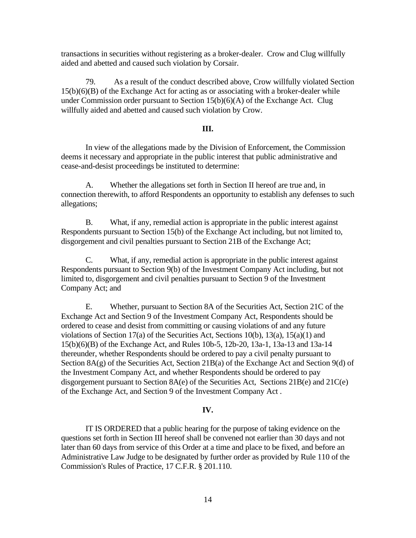transactions in securities without registering as a broker-dealer. Crow and Clug willfully aided and abetted and caused such violation by Corsair.

79. As a result of the conduct described above, Crow willfully violated Section 15(b)(6)(B) of the Exchange Act for acting as or associating with a broker-dealer while under Commission order pursuant to Section 15(b)(6)(A) of the Exchange Act. Clug willfully aided and abetted and caused such violation by Crow.

#### **III.**

In view of the allegations made by the Division of Enforcement, the Commission deems it necessary and appropriate in the public interest that public administrative and cease-and-desist proceedings be instituted to determine:

A. Whether the allegations set forth in Section II hereof are true and, in connection therewith, to afford Respondents an opportunity to establish any defenses to such allegations;

B. What, if any, remedial action is appropriate in the public interest against Respondents pursuant to Section 15(b) of the Exchange Act including, but not limited to, disgorgement and civil penalties pursuant to Section 21B of the Exchange Act;

C. What, if any, remedial action is appropriate in the public interest against Respondents pursuant to Section 9(b) of the Investment Company Act including, but not limited to, disgorgement and civil penalties pursuant to Section 9 of the Investment Company Act; and

E. Whether, pursuant to Section 8A of the Securities Act, Section 21C of the Exchange Act and Section 9 of the Investment Company Act, Respondents should be ordered to cease and desist from committing or causing violations of and any future violations of Section 17(a) of the Securities Act, Sections 10(b), 13(a), 15(a)(1) and 15(b)(6)(B) of the Exchange Act, and Rules 10b-5, 12b-20, 13a-1, 13a-13 and 13a-14 thereunder, whether Respondents should be ordered to pay a civil penalty pursuant to Section 8A(g) of the Securities Act, Section 21B(a) of the Exchange Act and Section 9(d) of the Investment Company Act, and whether Respondents should be ordered to pay disgorgement pursuant to Section  $8A(e)$  of the Securities Act, Sections  $21B(e)$  and  $21C(e)$ of the Exchange Act, and Section 9 of the Investment Company Act .

#### **IV.**

IT IS ORDERED that a public hearing for the purpose of taking evidence on the questions set forth in Section III hereof shall be convened not earlier than 30 days and not later than 60 days from service of this Order at a time and place to be fixed, and before an Administrative Law Judge to be designated by further order as provided by Rule 110 of the Commission's Rules of Practice, 17 C.F.R. § 201.110.